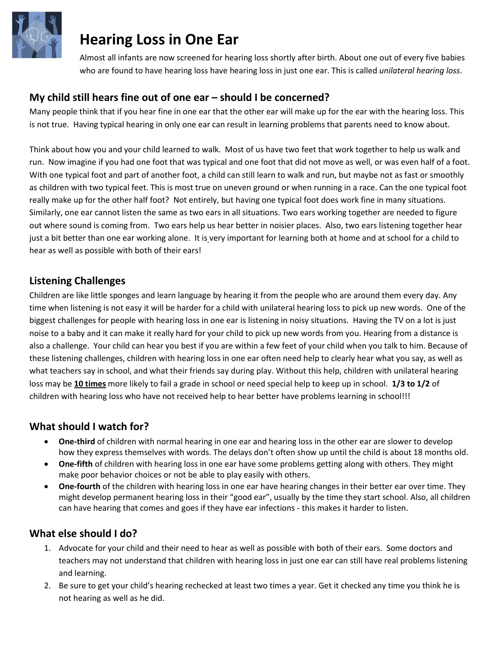

# **Hearing Loss in One Ear**

Almost all infants are now screened for hearing loss shortly after birth. About one out of every five babies who are found to have hearing loss have hearing loss in just one ear. This is called *unilateral hearing loss*.

## **My child still hears fine out of one ear – should I be concerned?**

Many people think that if you hear fine in one ear that the other ear will make up for the ear with the hearing loss. This is not true. Having typical hearing in only one ear can result in learning problems that parents need to know about.

Think about how you and your child learned to walk. Most of us have two feet that work together to help us walk and run. Now imagine if you had one foot that was typical and one foot that did not move as well, or was even half of a foot. With one typical foot and part of another foot, a child can still learn to walk and run, but maybe not as fast or smoothly as children with two typical feet. This is most true on uneven ground or when running in a race. Can the one typical foot really make up for the other half foot? Not entirely, but having one typical foot does work fine in many situations. Similarly, one ear cannot listen the same as two ears in all situations. Two ears working together are needed to figure out where sound is coming from. Two ears help us hear better in noisier places. Also, two ears listening together hear just a bit better than one ear working alone. It is very important for learning both at home and at school for a child to hear as well as possible with both of their ears!

### **Listening Challenges**

Children are like little sponges and learn language by hearing it from the people who are around them every day. Any time when listening is not easy it will be harder for a child with unilateral hearing loss to pick up new words. One of the biggest challenges for people with hearing loss in one ear is listening in noisy situations. Having the TV on a lot is just noise to a baby and it can make it really hard for your child to pick up new words from you. Hearing from a distance is also a challenge. Your child can hear you best if you are within a few feet of your child when you talk to him. Because of these listening challenges, children with hearing loss in one ear often need help to clearly hear what you say, as well as what teachers say in school, and what their friends say during play. Without this help, children with unilateral hearing loss may be **10 times** more likely to fail a grade in school or need special help to keep up in school. **1/3 to 1/2** of children with hearing loss who have not received help to hear better have problems learning in school!!!

### **What should I watch for?**

- **One-third** of children with normal hearing in one ear and hearing loss in the other ear are slower to develop how they express themselves with words. The delays don't often show up until the child is about 18 months old.
- **One-fifth** of children with hearing loss in one ear have some problems getting along with others. They might make poor behavior choices or not be able to play easily with others.
- **One-fourth** of the children with hearing loss in one ear have hearing changes in their better ear over time. They might develop permanent hearing loss in their "good ear", usually by the time they start school. Also, all children can have hearing that comes and goes if they have ear infections - this makes it harder to listen.

### **What else should I do?**

- 1. Advocate for your child and their need to hear as well as possible with both of their ears. Some doctors and teachers may not understand that children with hearing loss in just one ear can still have real problems listening and learning.
- 2. Be sure to get your child's hearing rechecked at least two times a year. Get it checked any time you think he is not hearing as well as he did.